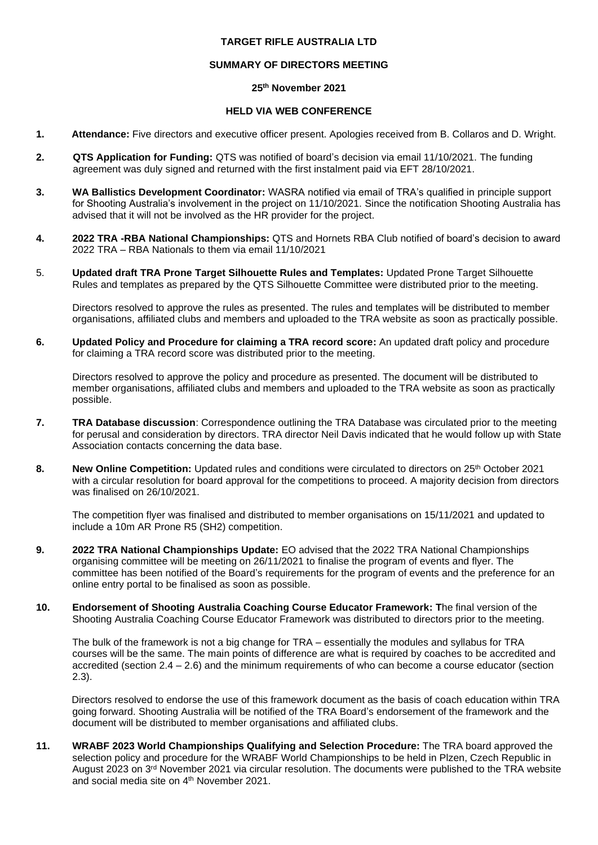# **TARGET RIFLE AUSTRALIA LTD**

## **SUMMARY OF DIRECTORS MEETING**

## **25th November 2021**

# **HELD VIA WEB CONFERENCE**

- **1. Attendance:** Five directors and executive officer present. Apologies received from B. Collaros and D. Wright.
- **2. QTS Application for Funding:** QTS was notified of board's decision via email 11/10/2021. The funding agreement was duly signed and returned with the first instalment paid via EFT 28/10/2021.
- **3. WA Ballistics Development Coordinator:** WASRA notified via email of TRA's qualified in principle support for Shooting Australia's involvement in the project on 11/10/2021. Since the notification Shooting Australia has advised that it will not be involved as the HR provider for the project.
- **4. 2022 TRA -RBA National Championships:** QTS and Hornets RBA Club notified of board's decision to award 2022 TRA – RBA Nationals to them via email 11/10/2021
- 5. **Updated draft TRA Prone Target Silhouette Rules and Templates:** Updated Prone Target Silhouette Rules and templates as prepared by the QTS Silhouette Committee were distributed prior to the meeting.

Directors resolved to approve the rules as presented. The rules and templates will be distributed to member organisations, affiliated clubs and members and uploaded to the TRA website as soon as practically possible.

**6. Updated Policy and Procedure for claiming a TRA record score:** An updated draft policy and procedure for claiming a TRA record score was distributed prior to the meeting.

Directors resolved to approve the policy and procedure as presented. The document will be distributed to member organisations, affiliated clubs and members and uploaded to the TRA website as soon as practically possible.

- **7. TRA Database discussion**: Correspondence outlining the TRA Database was circulated prior to the meeting for perusal and consideration by directors. TRA director Neil Davis indicated that he would follow up with State Association contacts concerning the data base.
- 8. **New Online Competition:** Updated rules and conditions were circulated to directors on 25<sup>th</sup> October 2021 with a circular resolution for board approval for the competitions to proceed. A majority decision from directors was finalised on 26/10/2021.

The competition flyer was finalised and distributed to member organisations on 15/11/2021 and updated to include a 10m AR Prone R5 (SH2) competition.

- **9. 2022 TRA National Championships Update:** EO advised that the 2022 TRA National Championships organising committee will be meeting on 26/11/2021 to finalise the program of events and flyer. The committee has been notified of the Board's requirements for the program of events and the preference for an online entry portal to be finalised as soon as possible.
- **10. Endorsement of Shooting Australia Coaching Course Educator Framework: T**he final version of the Shooting Australia Coaching Course Educator Framework was distributed to directors prior to the meeting.

The bulk of the framework is not a big change for TRA – essentially the modules and syllabus for TRA courses will be the same. The main points of difference are what is required by coaches to be accredited and accredited (section 2.4 – 2.6) and the minimum requirements of who can become a course educator (section 2.3).

Directors resolved to endorse the use of this framework document as the basis of coach education within TRA going forward. Shooting Australia will be notified of the TRA Board's endorsement of the framework and the document will be distributed to member organisations and affiliated clubs.

**11. WRABF 2023 World Championships Qualifying and Selection Procedure:** The TRA board approved the selection policy and procedure for the WRABF World Championships to be held in Plzen, Czech Republic in August 2023 on 3<sup>rd</sup> November 2021 via circular resolution. The documents were published to the TRA website and social media site on 4th November 2021.